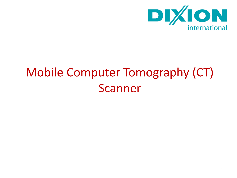

# Mobile Computer Tomography (CT) Scanner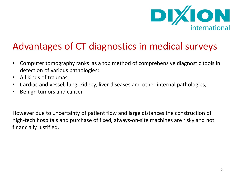

## Advantages of CT diagnostics in medical surveys

- Computer tomography ranks as a top method of comprehensive diagnostic tools in detection of various pathologies:
- All kinds of traumas;
- Cardiac and vessel, lung, kidney, liver diseases and other internal pathologies;
- Benign tumors and cancer

However due to uncertainty of patient flow and large distances the construction of high-tech hospitals and purchase of fixed, always-on-site machines are risky and not financially justified.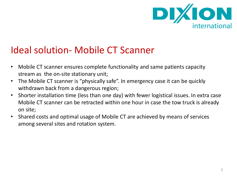

## Ideal solution- Mobile CT Scanner

- Mobile CT scanner ensures complete functionality and same patients capacity stream as the on-site stationary unit;
- The Mobile CT scanner is "physically safe". In emergency case it can be quickly withdrawn back from a dangerous region;
- Shorter installation time (less than one day) with fewer logistical issues. In extra case Mobile CT scanner can be retracted within one hour in case the tow truck is already on site;
- Shared costs and optimal usage of Mobile CT are achieved by means of services among several sites and rotation system.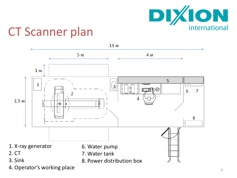

## CT Scanner plan

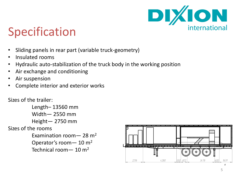

# Specification

- Sliding panels in rear part (variable truck-geometry)
- Insulated rooms
- Hydraulic auto-stabilization of the truck body in the working position
- Air exchange and conditioning
- Air suspension
- Complete interior and exterior works

#### Sizes of the trailer:

Length– 13560 mm Width— 2550 mm Height— 2750 mm Sizes of the rooms Examination room  $-$  28 m<sup>2</sup> Operator's room— 10 m<sup>2</sup> Technical room— 10 m<sup>2</sup>